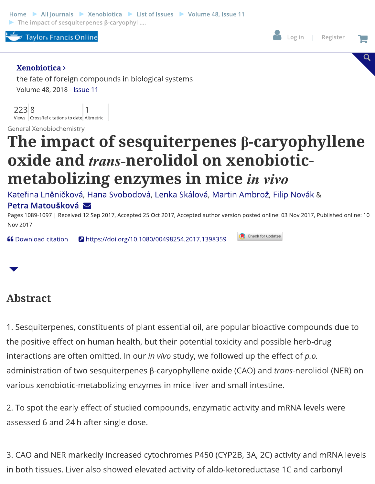Home ▶ All Journals ▶ Xenobiotica ▶ List of Issues ▶ Volume 48, Issue 11 The impact of sesquiterpenes  $\beta$ -caryophyl ....

#### $\triangledown$  Taylor<sub>®</sub> Francis Online



Q

#### Xenobiotica >

the fate of foreign compounds in biological systems Volume 48, 2018 - Issue 11

2238 Views CrossRef citations to date Altmetric

General Xenobiochemistry

# The impact of sesquiterpenes ß-caryophyllene oxide and *trans-*nerolidol on xenobioticmetabolizing enzymes in mice in vivo

Kateřina Lněničková, Hana Svobodová, Lenka Skálová, Martin Ambrož, Filip Novák &

#### Petra Matoušková  $\blacktriangleright$

Pages 1089-1097 | Received 12 Sep 2017, Accepted 25 Oct 2017, Accepted author version posted online: 03 Nov 2017, Published online: 10 Nov 2017

**66** Download citation https://doi.org/10.1080/00498254.2017.1398359



### **Abstract**

1. Sesquiterpenes, constituents of plant essential oil, are popular bioactive compounds due to the positive effect on human health, but their potential toxicity and possible herb-drug interactions are often omitted. In our in vivo study, we followed up the effect of  $p.o.$ administration of two sesquiterpenes  $\beta$ -caryophyllene oxide (CAO) and *trans*-nerolidol (NER) on various xenobiotic-metabolizing enzymes in mice liver and small intestine.

2. To spot the early effect of studied compounds, enzymatic activity and mRNA levels were assessed 6 and 24 h after single dose.

3. CAO and NER markedly increased cytochromes P450 (CYP2B, 3A, 2C) activity and mRNA levels in both tissues. Liver also showed elevated activity of aldo-ketoreductase 1C and carbonyl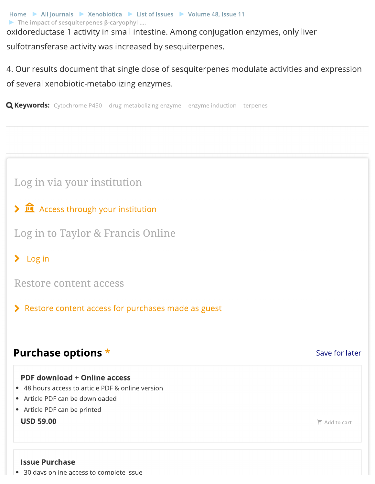Home All Journals Amendiotica List of Issues A Volume 48, Issue 11  $\triangleright$  The impact of sesquiterpenes  $\beta$ -caryophyl .... oxidoreductase 1 activity in small intestine. Among conjugation enzymes, only liver sulfotransferase activity was increased by sesquiterpenes.

4. Our results document that single dose of sesquiterpenes modulate activities and expression of several xenobiotic-metabolizing enzymes.

**Q Keywords:** Cytochrome P450 drug-metabolizing enzyme enzyme induction terpenes

## Log in via your institution

- $\sum$   $\widehat{m}$  Access through your institution
- Log in to Taylor & Francis Online
- $\sum$  Log in

Restore content access

> Restore content access for purchases made as guest

### Purchase options \*

#### Save for later

#### PDF download + Online access

- 48 hours access to article PDF & online version
- Article PDF can be downloaded
- Article PDF can be printed

#### **USD 59.00**

 $\overline{F}$  Add to cart

#### **Issue Purchase**

• 30 days online access to complete issue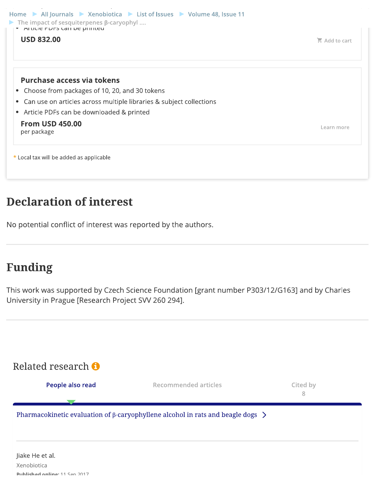| • ALUCTE FUES CALL DE PLITTEO<br><b>USD 832.00</b>                                   | $\mathbf{\Sigma}$ Add to cart |
|--------------------------------------------------------------------------------------|-------------------------------|
| <b>Purchase access via tokens</b><br>• Choose from packages of 10, 20, and 30 tokens |                               |
| • Can use on articles across multiple libraries & subject collections                |                               |
| • Article PDFs can be downloaded & printed                                           |                               |
| <b>From USD 450.00</b><br>per package                                                | Learn more                    |
| * Local tax will be added as applicable                                              |                               |

## **Declaration of interest**

No potential conflict of interest was reported by the authors.

## **Funding**

This work was supported by Czech Science Foundation [grant number P303/12/G163] and by Charles University in Prague [Research Project SVV 260 294].

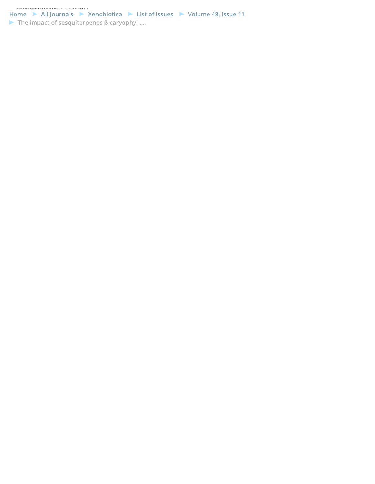Home ▶ All Journals ▶ Xenobiotica ▶ List of Issues ▶ Volume 48, Issue 11

 $\blacktriangleright$  The impact of sesquiterpenes  $\beta$ -caryophyl ....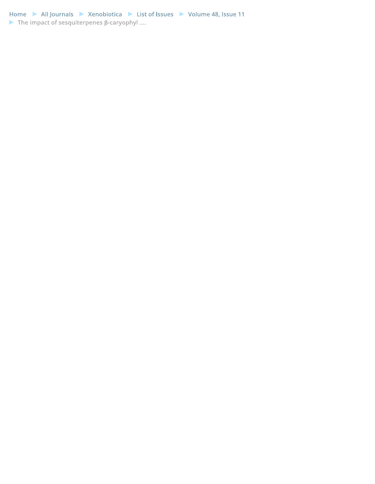Home All Journals > Xenobiotica > List of Issues > Volume 48, Issue 11<br>
> The impact of sesquiterpenes  $\beta$ -caryophyl ....